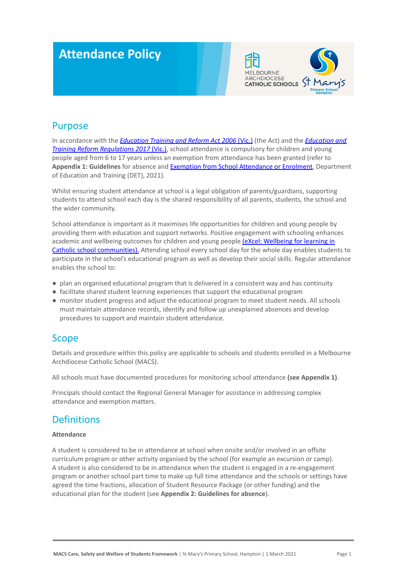# **Attendance Policy**



### Purpose

In accordance with the *[Education Training and Reform](https://www.macs.vic.edu.au/CatholicEducationMelbourne/media/Documentation/Documents/eXcel-Wellbeing-for-learning_Guide_May-2018_CEM.pdf) Act 2006* (Vic.) (the Act) and the *[Education and](https://www.education.vic.gov.au/about/department/legislation/Pages/act2006regs.aspx) [Training Reform Regulations 2017](https://www.education.vic.gov.au/about/department/legislation/Pages/act2006regs.aspx)* (Vic.), school attendance is compulsory for children and young people aged from 6 to 17 years unless an exemption from attendance has been granted (refer to **Appendix 1: Guidelines** for absence and Exemption from [School Attendance or Enrolment](https://www2.education.vic.gov.au/pal/exemption-school-attendance-and-enrolment/policy), Department of Education and Training (DET), 2021).

Whilst ensuring student attendance at school is a legal obligation of parents/guardians, supporting students to attend school each day is the shared responsibility of all parents, students, the school and the wider community.

School attendance is important as it maximises life opportunities for children and young people by providing them with education and support networks. Positive engagement with schooling enhances academic and wellbeing outcomes for children and young people [\(eXcel: Wellbeing for learning in](https://www.macs.vic.edu.au/CatholicEducationMelbourne/media/Documentation/Documents/eXcel-Wellbeing-for-learning_Guide_May-2018_CEM.pdf) [Catholic school communities\).](https://www.macs.vic.edu.au/CatholicEducationMelbourne/media/Documentation/Documents/eXcel-Wellbeing-for-learning_Guide_May-2018_CEM.pdf) Attending school every school day for the whole day enables students to participate in the school's educational program as well as develop their social skills. Regular attendance enables the school to:

- plan an organised educational program that is delivered in a consistent way and has continuity
- facilitate shared student learning experiences that support the educational program
- monitor student progress and adjust the educational program to meet student needs. All schools must maintain attendance records, identify and follow up unexplained absences and develop procedures to support and maintain student attendance.

## **Scope**

Details and procedure within this policy are applicable to schools and students enrolled in a Melbourne Archdiocese Catholic School (MACS).

All schools must have documented procedures for monitoring school attendance **(see Appendix 1)**.

Principals should contact the Regional General Manager for assistance in addressing complex attendance and exemption matters.

## **Definitions**

#### **Attendance**

A student is considered to be in attendance at school when onsite and/or involved in an offsite curriculum program or other activity organised by the school (for example an excursion or camp). A student is also considered to be in attendance when the student is engaged in a re-engagement program or another school part time to make up full time attendance and the schools or settings have agreed the time fractions, allocation of Student Resource Package (or other funding) and the educational plan for the student (see **Appendix 2: Guidelines for absence**).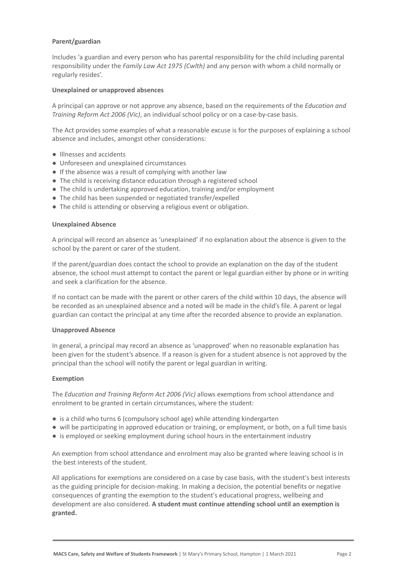#### **Parent/guardian**

Includes 'a guardian and every person who has parental responsibility for the child including parental responsibility under the *Family Law Act 1975 (Cwlth)* and any person with whom a child normally or regularly resides'.

#### **Unexplained or unapproved absences**

A principal can approve or not approve any absence, based on the requirements of the *Education and Training Reform Act 2006 (Vic)*, an individual school policy or on a case-by-case basis.

The Act provides some examples of what a reasonable excuse is for the purposes of explaining a school absence and includes, amongst other considerations:

- Illnesses and accidents
- Unforeseen and unexplained circumstances
- If the absence was a result of complying with another law
- The child is receiving distance education through a registered school
- The child is undertaking approved education, training and/or employment
- The child has been suspended or negotiated transfer/expelled
- The child is attending or observing a religious event or obligation.

#### **Unexplained Absence**

A principal will record an absence as 'unexplained' if no explanation about the absence is given to the school by the parent or carer of the student.

If the parent/guardian does contact the school to provide an explanation on the day of the student absence, the school must attempt to contact the parent or legal guardian either by phone or in writing and seek a clarification for the absence.

If no contact can be made with the parent or other carers of the child within 10 days, the absence will be recorded as an unexplained absence and a noted will be made in the child's file. A parent or legal guardian can contact the principal at any time after the recorded absence to provide an explanation.

#### **Unapproved Absence**

In general, a principal may record an absence as 'unapproved' when no reasonable explanation has been given for the student's absence. If a reason is given for a student absence is not approved by the principal than the school will notify the parent or legal guardian in writing.

#### **Exemption**

The *Education and Training Reform Act 2006 (Vic)* allows exemptions from school attendance and enrolment to be granted in certain circumstances, where the student:

- is a child who turns 6 (compulsory school age) while attending kindergarten
- will be participating in approved education or training, or employment, or both, on a full time basis
- is employed or seeking employment during school hours in the entertainment industry

An exemption from school attendance and enrolment may also be granted where leaving school is in the best interests of the student.

All applications for exemptions are considered on a case by case basis, with the student's best interests as the guiding principle for decision-making. In making a decision, the potential benefits or negative consequences of granting the exemption to the student's educational progress, wellbeing and development are also considered. **A student must continue attending school until an exemption is granted.**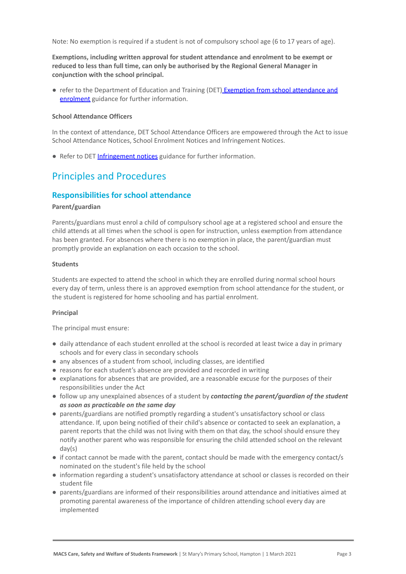Note: No exemption is required if a student is not of compulsory school age (6 to 17 years of age).

**Exemptions, including written approval for student attendance and enrolment to be exempt or reduced to less than full time, can only be authorised by the Regional General Manager in conjunction with the school principal.**

● refer to the Department of Education and Training (DET) [Exemption from school attendance and](https://www2.education.vic.gov.au/pal/exemption-school-attendance-and-enrolment/guidance/1-exemption-categories) [enrolment](https://www2.education.vic.gov.au/pal/exemption-school-attendance-and-enrolment/guidance/1-exemption-categories) guidance for further information.

#### **School Attendance Officers**

In the context of attendance, DET School Attendance Officers are empowered through the Act to issue School Attendance Notices, School Enrolment Notices and Infringement Notices.

● Refer to DET [Infringement notices](https://www2.education.vic.gov.au/pal/attendance/guidance/10-infringement-notices) guidance for further information.

### Principles and Procedures

#### **Responsibilities for school attendance**

#### **Parent/guardian**

Parents/guardians must enrol a child of compulsory school age at a registered school and ensure the child attends at all times when the school is open for instruction, unless exemption from attendance has been granted. For absences where there is no exemption in place, the parent/guardian must promptly provide an explanation on each occasion to the school.

#### **Students**

Students are expected to attend the school in which they are enrolled during normal school hours every day of term, unless there is an approved exemption from school attendance for the student, or the student is registered for home schooling and has partial enrolment.

#### **Principal**

The principal must ensure:

- daily attendance of each student enrolled at the school is recorded at least twice a day in primary schools and for every class in secondary schools
- any absences of a student from school, including classes, are identified
- reasons for each student's absence are provided and recorded in writing
- explanations for absences that are provided, are a reasonable excuse for the purposes of their responsibilities under the Act
- **●** follow up any unexplained absences of a student by *contacting the parent/guardian of the student as soon as practicable on the same day*
- parents/guardians are notified promptly regarding a student's unsatisfactory school or class attendance. If, upon being notified of their child's absence or contacted to seek an explanation, a parent reports that the child was not living with them on that day, the school should ensure they notify another parent who was responsible for ensuring the child attended school on the relevant day(s)
- if contact cannot be made with the parent, contact should be made with the emergency contact/s nominated on the student's file held by the school
- information regarding a student's unsatisfactory attendance at school or classes is recorded on their student file
- parents/guardians are informed of their responsibilities around attendance and initiatives aimed at promoting parental awareness of the importance of children attending school every day are implemented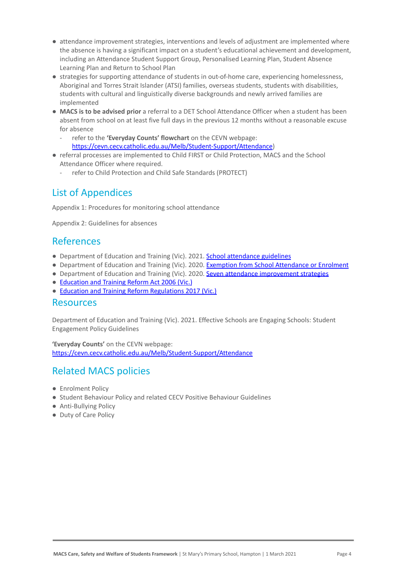- attendance improvement strategies, interventions and levels of adjustment are implemented where the absence is having a significant impact on a student's educational achievement and development, including an Attendance Student Support Group, Personalised Learning Plan, Student Absence Learning Plan and Return to School Plan
- strategies for supporting attendance of students in out-of-home care, experiencing homelessness, Aboriginal and Torres Strait Islander (ATSI) families, overseas students, students with disabilities, students with cultural and linguistically diverse backgrounds and newly arrived families are implemented
- **MACS is to be advised prior** a referral to a DET School Attendance Officer when a student has been absent from school on at least five full days in the previous 12 months without a reasonable excuse for absence
	- refer to the **'Everyday Counts' flowchart** on the CEVN webpage: <https://cevn.cecv.catholic.edu.au/Melb/Student-Support/Attendance>)
- referral processes are implemented to Child FIRST or Child Protection, MACS and the School Attendance Officer where required.
	- refer to Child Protection and Child Safe Standards (PROTECT)

## List of Appendices

Appendix 1: Procedures for monitoring school attendance

Appendix 2: Guidelines for absences

### References

- Department of Education and Training (Vic). 2021. [School attendance guidelines](https://www2.education.vic.gov.au/pal/attendance/guidance)
- Department of Education and Training (Vic). 2020. [Exemption from School Attendance or Enrolment](https://www2.education.vic.gov.au/pal/exemption-school-attendance-and-enrolment/policy)
- Department of Education and Training (Vic). 2020. [Seven attendance improvement strategies](https://www2.education.vic.gov.au/pal/attendance/guidance/7-attendance-improvement-strategies)
- [Education and Training Reform Act 2006 \(Vic.\)](https://www.legislation.vic.gov.au/in-force/acts/education-and-training-reform-act-2006/083)
- [Education and Training Reform Regulations 2017 \(Vic.\)](https://www.education.vic.gov.au/about/department/legislation/Pages/act2006regs.aspx)

### Resources

Department of Education and Training (Vic). 2021. Effective Schools are Engaging Schools: Student Engagement Policy Guidelines

**'Everyday Counts'** on the CEVN webpage: <https://cevn.cecv.catholic.edu.au/Melb/Student-Support/Attendance>

## Related MACS policies

- Enrolment Policy
- Student Behaviour Policy and related CECV Positive Behaviour Guidelines
- Anti-Bullying Policy
- Duty of Care Policy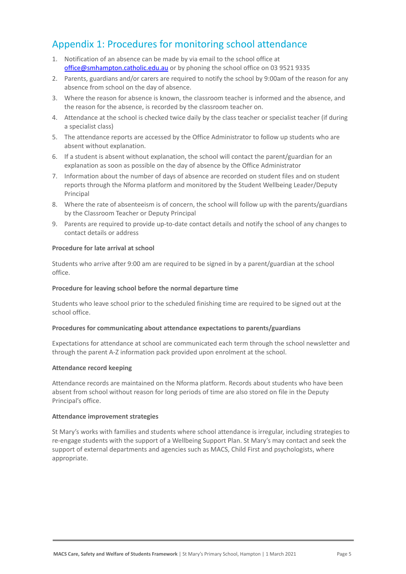# Appendix 1: Procedures for monitoring school attendance

- 1. Notification of an absence can be made by via email to the school office at [office@smhampton.catholic.edu.au](mailto:office@smhampton.catholic.edu.au) or by phoning the school office on 03 9521 9335
- 2. Parents, guardians and/or carers are required to notify the school by 9:00am of the reason for any absence from school on the day of absence.
- 3. Where the reason for absence is known, the classroom teacher is informed and the absence, and the reason for the absence, is recorded by the classroom teacher on.
- 4. Attendance at the school is checked twice daily by the class teacher or specialist teacher (if during a specialist class)
- 5. The attendance reports are accessed by the Office Administrator to follow up students who are absent without explanation.
- 6. If a student is absent without explanation, the school will contact the parent/guardian for an explanation as soon as possible on the day of absence by the Office Administrator
- 7. Information about the number of days of absence are recorded on student files and on student reports through the Nforma platform and monitored by the Student Wellbeing Leader/Deputy Principal
- 8. Where the rate of absenteeism is of concern, the school will follow up with the parents/guardians by the Classroom Teacher or Deputy Principal
- 9. Parents are required to provide up-to-date contact details and notify the school of any changes to contact details or address

#### **Procedure for late arrival at school**

Students who arrive after 9:00 am are required to be signed in by a parent/guardian at the school office.

#### **Procedure for leaving school before the normal departure time**

Students who leave school prior to the scheduled finishing time are required to be signed out at the school office.

#### **Procedures for communicating about attendance expectations to parents/guardians**

Expectations for attendance at school are communicated each term through the school newsletter and through the parent A-Z information pack provided upon enrolment at the school.

#### **Attendance record keeping**

Attendance records are maintained on the Nforma platform. Records about students who have been absent from school without reason for long periods of time are also stored on file in the Deputy Principal's office.

#### **Attendance improvement strategies**

St Mary's works with families and students where school attendance is irregular, including strategies to re-engage students with the support of a Wellbeing Support Plan. St Mary's may contact and seek the support of external departments and agencies such as MACS, Child First and psychologists, where appropriate.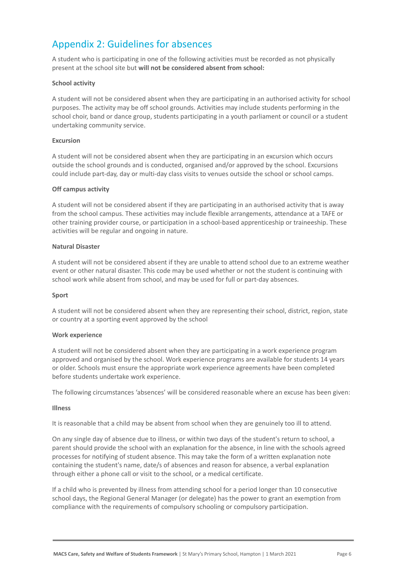# Appendix 2: Guidelines for absences

A student who is participating in one of the following activities must be recorded as not physically present at the school site but **will not be considered absent from school:**

#### **School activity**

A student will not be considered absent when they are participating in an authorised activity for school purposes. The activity may be off school grounds. Activities may include students performing in the school choir, band or dance group, students participating in a youth parliament or council or a student undertaking community service.

#### **Excursion**

A student will not be considered absent when they are participating in an excursion which occurs outside the school grounds and is conducted, organised and/or approved by the school. Excursions could include part-day, day or multi-day class visits to venues outside the school or school camps.

#### **Off campus activity**

A student will not be considered absent if they are participating in an authorised activity that is away from the school campus. These activities may include flexible arrangements, attendance at a TAFE or other training provider course, or participation in a school-based apprenticeship or traineeship. These activities will be regular and ongoing in nature.

#### **Natural Disaster**

A student will not be considered absent if they are unable to attend school due to an extreme weather event or other natural disaster. This code may be used whether or not the student is continuing with school work while absent from school, and may be used for full or part-day absences.

#### **Sport**

A student will not be considered absent when they are representing their school, district, region, state or country at a sporting event approved by the school

#### **Work experience**

A student will not be considered absent when they are participating in a work experience program approved and organised by the school. Work experience programs are available for students 14 years or older. Schools must ensure the appropriate work experience agreements have been completed before students undertake work experience.

The following circumstances 'absences' will be considered reasonable where an excuse has been given:

#### **Illness**

It is reasonable that a child may be absent from school when they are genuinely too ill to attend.

On any single day of absence due to illness, or within two days of the student's return to school, a parent should provide the school with an explanation for the absence, in line with the schools agreed processes for notifying of student absence. This may take the form of a written explanation note containing the student's name, date/s of absences and reason for absence, a verbal explanation through either a phone call or visit to the school, or a medical certificate.

If a child who is prevented by illness from attending school for a period longer than 10 consecutive school days, the Regional General Manager (or delegate) has the power to grant an exemption from compliance with the requirements of compulsory schooling or compulsory participation.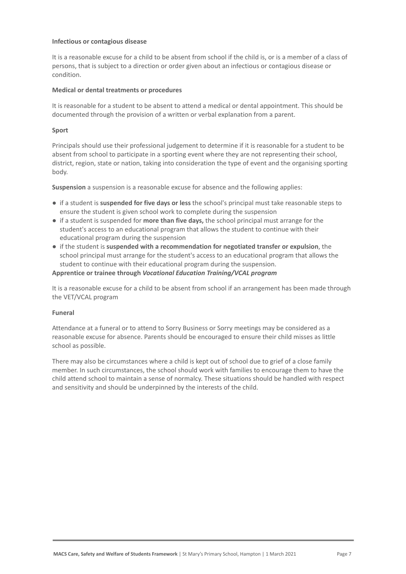#### **Infectious or contagious disease**

It is a reasonable excuse for a child to be absent from school if the child is, or is a member of a class of persons, that is subject to a direction or order given about an infectious or contagious disease or condition.

#### **Medical or dental treatments or procedures**

It is reasonable for a student to be absent to attend a medical or dental appointment. This should be documented through the provision of a written or verbal explanation from a parent.

#### **Sport**

Principals should use their professional judgement to determine if it is reasonable for a student to be absent from school to participate in a sporting event where they are not representing their school, district, region, state or nation, taking into consideration the type of event and the organising sporting body.

**Suspension** a suspension is a reasonable excuse for absence and the following applies:

- if a student is **suspended for five days or less** the school's principal must take reasonable steps to ensure the student is given school work to complete during the suspension
- if a student is suspended for **more than five days,** the school principal must arrange for the student's access to an educational program that allows the student to continue with their educational program during the suspension
- if the student is **suspended with a recommendation for negotiated transfer or expulsion**, the school principal must arrange for the student's access to an educational program that allows the student to continue with their educational program during the suspension.

#### **Apprentice or trainee through** *Vocational Education Training/VCAL program*

It is a reasonable excuse for a child to be absent from school if an arrangement has been made through the VET/VCAL program

#### **Funeral**

Attendance at a funeral or to attend to Sorry Business or Sorry meetings may be considered as a reasonable excuse for absence. Parents should be encouraged to ensure their child misses as little school as possible.

There may also be circumstances where a child is kept out of school due to grief of a close family member. In such circumstances, the school should work with families to encourage them to have the child attend school to maintain a sense of normalcy. These situations should be handled with respect and sensitivity and should be underpinned by the interests of the child.